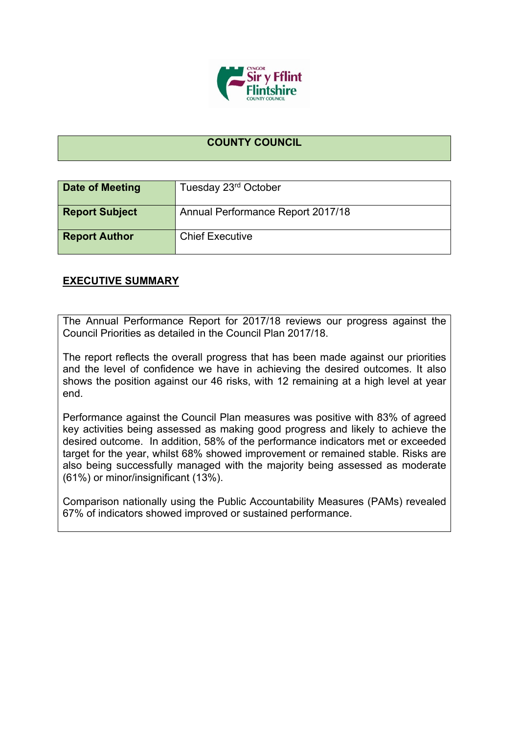

## **COUNTY COUNCIL**

| Date of Meeting       | Tuesday 23rd October              |
|-----------------------|-----------------------------------|
| <b>Report Subject</b> | Annual Performance Report 2017/18 |
| <b>Report Author</b>  | <b>Chief Executive</b>            |

## **EXECUTIVE SUMMARY**

The Annual Performance Report for 2017/18 reviews our progress against the Council Priorities as detailed in the Council Plan 2017/18.

The report reflects the overall progress that has been made against our priorities and the level of confidence we have in achieving the desired outcomes. It also shows the position against our 46 risks, with 12 remaining at a high level at year end.

Performance against the Council Plan measures was positive with 83% of agreed key activities being assessed as making good progress and likely to achieve the desired outcome. In addition, 58% of the performance indicators met or exceeded target for the year, whilst 68% showed improvement or remained stable. Risks are also being successfully managed with the majority being assessed as moderate (61%) or minor/insignificant (13%).

Comparison nationally using the Public Accountability Measures (PAMs) revealed 67% of indicators showed improved or sustained performance.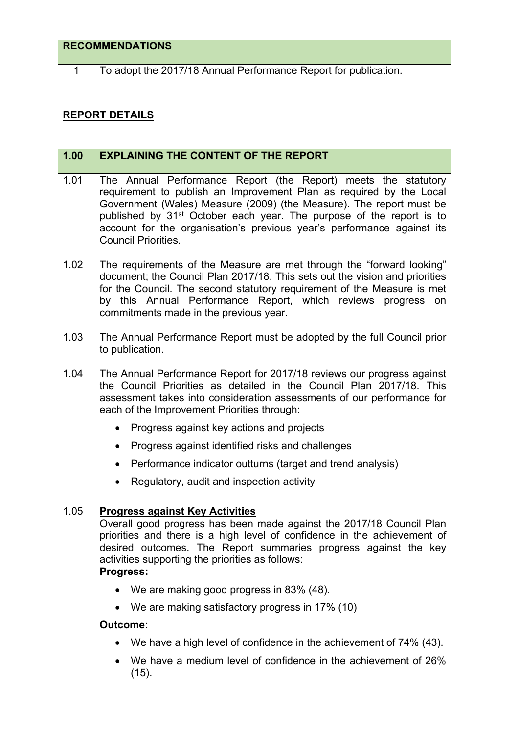## **RECOMMENDATIONS**

1 To adopt the 2017/18 Annual Performance Report for publication.

## **REPORT DETAILS**

| 1.00 | <b>EXPLAINING THE CONTENT OF THE REPORT</b>                                                                                                                                                                                                                                                                                                                                                              |
|------|----------------------------------------------------------------------------------------------------------------------------------------------------------------------------------------------------------------------------------------------------------------------------------------------------------------------------------------------------------------------------------------------------------|
| 1.01 | The Annual Performance Report (the Report) meets the statutory<br>requirement to publish an Improvement Plan as required by the Local<br>Government (Wales) Measure (2009) (the Measure). The report must be<br>published by 31 <sup>st</sup> October each year. The purpose of the report is to<br>account for the organisation's previous year's performance against its<br><b>Council Priorities.</b> |
| 1.02 | The requirements of the Measure are met through the "forward looking"<br>document; the Council Plan 2017/18. This sets out the vision and priorities<br>for the Council. The second statutory requirement of the Measure is met<br>by this Annual Performance Report, which reviews progress on<br>commitments made in the previous year.                                                                |
| 1.03 | The Annual Performance Report must be adopted by the full Council prior<br>to publication.                                                                                                                                                                                                                                                                                                               |
| 1.04 | The Annual Performance Report for 2017/18 reviews our progress against<br>the Council Priorities as detailed in the Council Plan 2017/18. This<br>assessment takes into consideration assessments of our performance for<br>each of the Improvement Priorities through:                                                                                                                                  |
|      | Progress against key actions and projects                                                                                                                                                                                                                                                                                                                                                                |
|      | Progress against identified risks and challenges<br>$\bullet$                                                                                                                                                                                                                                                                                                                                            |
|      | Performance indicator outturns (target and trend analysis)<br>$\bullet$                                                                                                                                                                                                                                                                                                                                  |
|      | Regulatory, audit and inspection activity                                                                                                                                                                                                                                                                                                                                                                |
| 1.05 | <b>Progress against Key Activities</b><br>Overall good progress has been made against the 2017/18 Council Plan<br>priorities and there is a high level of confidence in the achievement of<br>desired outcomes. The Report summaries progress against the key<br>activities supporting the priorities as follows:<br>Progress:                                                                           |
|      | We are making good progress in 83% (48).                                                                                                                                                                                                                                                                                                                                                                 |
|      | We are making satisfactory progress in 17% (10)<br>$\bullet$                                                                                                                                                                                                                                                                                                                                             |
|      | Outcome:                                                                                                                                                                                                                                                                                                                                                                                                 |
|      | We have a high level of confidence in the achievement of 74% (43).                                                                                                                                                                                                                                                                                                                                       |
|      | We have a medium level of confidence in the achievement of 26%<br>(15).                                                                                                                                                                                                                                                                                                                                  |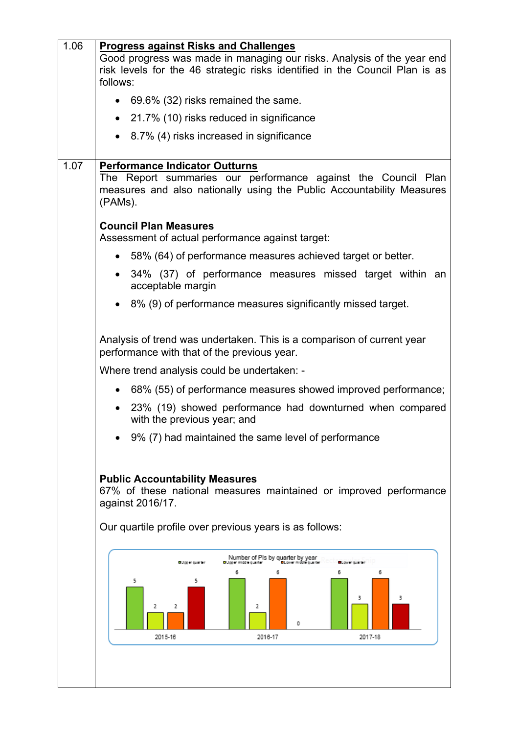| 1.06 | <b>Progress against Risks and Challenges</b><br>Good progress was made in managing our risks. Analysis of the year end<br>risk levels for the 46 strategic risks identified in the Council Plan is as<br>follows: |
|------|-------------------------------------------------------------------------------------------------------------------------------------------------------------------------------------------------------------------|
|      | $\bullet$ 69.6% (32) risks remained the same.                                                                                                                                                                     |
|      | • 21.7% (10) risks reduced in significance                                                                                                                                                                        |
|      | 8.7% (4) risks increased in significance                                                                                                                                                                          |
| 1.07 | <b>Performance Indicator Outturns</b><br>The Report summaries our performance against the Council Plan<br>measures and also nationally using the Public Accountability Measures<br>(PAMs).                        |
|      | <b>Council Plan Measures</b><br>Assessment of actual performance against target:                                                                                                                                  |
|      | • 58% (64) of performance measures achieved target or better.                                                                                                                                                     |
|      | 34% (37) of performance measures missed target within an<br>acceptable margin                                                                                                                                     |
|      | • 8% (9) of performance measures significantly missed target.                                                                                                                                                     |
|      | Analysis of trend was undertaken. This is a comparison of current year<br>performance with that of the previous year.                                                                                             |
|      | Where trend analysis could be undertaken: -                                                                                                                                                                       |
|      | 68% (55) of performance measures showed improved performance;                                                                                                                                                     |
|      | 23% (19) showed performance had downturned when compared<br>with the previous year; and                                                                                                                           |
|      | 9% (7) had maintained the same level of performance                                                                                                                                                               |
|      | <b>Public Accountability Measures</b><br>67% of these national measures maintained or improved performance<br>against 2016/17.<br>Our quartile profile over previous years is as follows:                         |
|      | Number of Pls by quarter by year<br>Duppermissinguarter <b>BLovermissinguarte</b><br>Billipper quanter<br>6<br>5<br>5<br>3<br>3<br>2<br>2<br>2<br>Ω<br>2015-16<br>2016-17<br>2017-18                              |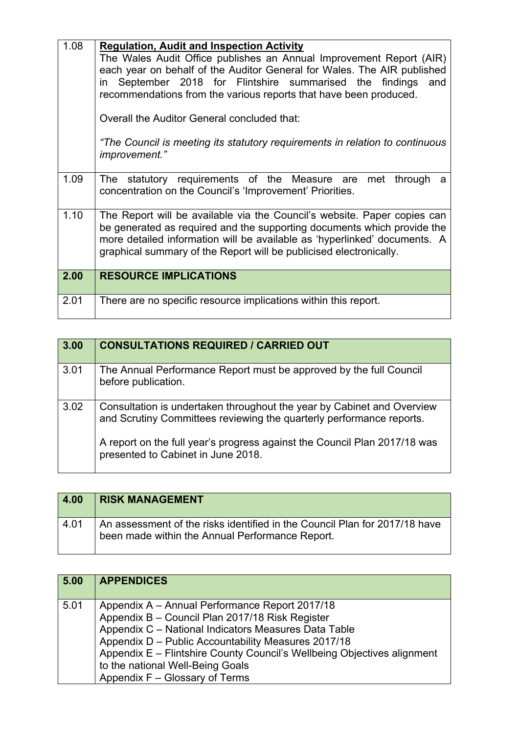| 1.08 | <b>Regulation, Audit and Inspection Activity</b><br>The Wales Audit Office publishes an Annual Improvement Report (AIR)<br>each year on behalf of the Auditor General for Wales. The AIR published<br>in September 2018 for Flintshire summarised the findings and<br>recommendations from the various reports that have been produced.<br>Overall the Auditor General concluded that:<br>"The Council is meeting its statutory requirements in relation to continuous<br>improvement." |
|------|-----------------------------------------------------------------------------------------------------------------------------------------------------------------------------------------------------------------------------------------------------------------------------------------------------------------------------------------------------------------------------------------------------------------------------------------------------------------------------------------|
| 1.09 | The statutory requirements of the Measure are<br>met<br>through<br>a<br>concentration on the Council's 'Improvement' Priorities.                                                                                                                                                                                                                                                                                                                                                        |
| 1.10 | The Report will be available via the Council's website. Paper copies can<br>be generated as required and the supporting documents which provide the<br>more detailed information will be available as 'hyperlinked' documents. A<br>graphical summary of the Report will be publicised electronically.                                                                                                                                                                                  |
| 2.00 | <b>RESOURCE IMPLICATIONS</b>                                                                                                                                                                                                                                                                                                                                                                                                                                                            |
| 2.01 | There are no specific resource implications within this report.                                                                                                                                                                                                                                                                                                                                                                                                                         |

| 3.00 | <b>CONSULTATIONS REQUIRED / CARRIED OUT</b>                                                                                                    |
|------|------------------------------------------------------------------------------------------------------------------------------------------------|
| 3.01 | The Annual Performance Report must be approved by the full Council<br>before publication.                                                      |
| 3.02 | Consultation is undertaken throughout the year by Cabinet and Overview<br>and Scrutiny Committees reviewing the quarterly performance reports. |
|      | A report on the full year's progress against the Council Plan 2017/18 was<br>presented to Cabinet in June 2018.                                |

| 4.00 | <b>RISK MANAGEMENT</b>                                                                                                        |
|------|-------------------------------------------------------------------------------------------------------------------------------|
| 4.01 | An assessment of the risks identified in the Council Plan for 2017/18 have<br>been made within the Annual Performance Report. |

| 5.00 | <b>APPENDICES</b>                                                                                                                                                                                                                                                                           |
|------|---------------------------------------------------------------------------------------------------------------------------------------------------------------------------------------------------------------------------------------------------------------------------------------------|
| 5.01 | Appendix A - Annual Performance Report 2017/18<br>Appendix B - Council Plan 2017/18 Risk Register<br>Appendix C - National Indicators Measures Data Table<br>Appendix D - Public Accountability Measures 2017/18<br>Appendix E - Flintshire County Council's Wellbeing Objectives alignment |
|      | to the national Well-Being Goals<br>Appendix F - Glossary of Terms                                                                                                                                                                                                                          |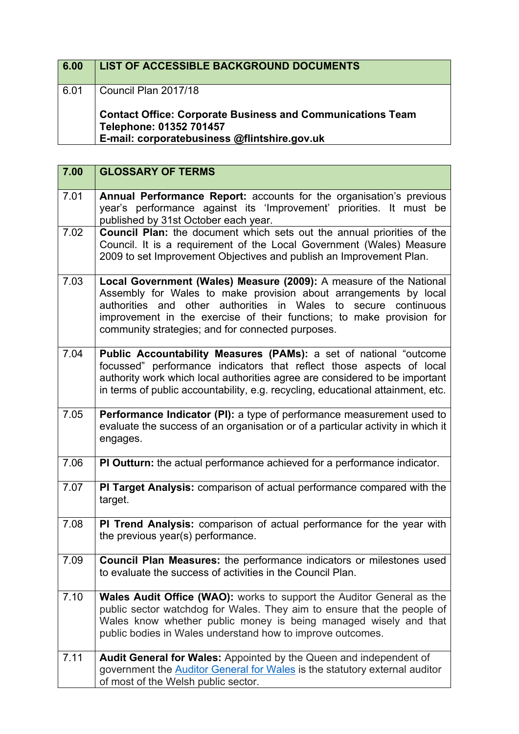| 6.00 | LIST OF ACCESSIBLE BACKGROUND DOCUMENTS                                                                                                      |
|------|----------------------------------------------------------------------------------------------------------------------------------------------|
| 6.01 | Council Plan 2017/18                                                                                                                         |
|      | <b>Contact Office: Corporate Business and Communications Team</b><br>Telephone: 01352 701457<br>E-mail: corporatebusiness @flintshire.gov.uk |

| 7.00 | <b>GLOSSARY OF TERMS</b>                                                                                                                                                                                                                                                                                                                         |
|------|--------------------------------------------------------------------------------------------------------------------------------------------------------------------------------------------------------------------------------------------------------------------------------------------------------------------------------------------------|
| 7.01 | Annual Performance Report: accounts for the organisation's previous<br>year's performance against its 'Improvement' priorities. It must be<br>published by 31st October each year.                                                                                                                                                               |
| 7.02 | Council Plan: the document which sets out the annual priorities of the<br>Council. It is a requirement of the Local Government (Wales) Measure<br>2009 to set Improvement Objectives and publish an Improvement Plan.                                                                                                                            |
| 7.03 | Local Government (Wales) Measure (2009): A measure of the National<br>Assembly for Wales to make provision about arrangements by local<br>authorities and other authorities in<br>Wales<br>to<br>secure continuous<br>improvement in the exercise of their functions; to make provision for<br>community strategies; and for connected purposes. |
| 7.04 | Public Accountability Measures (PAMs): a set of national "outcome<br>focussed" performance indicators that reflect those aspects of local<br>authority work which local authorities agree are considered to be important<br>in terms of public accountability, e.g. recycling, educational attainment, etc.                                      |
| 7.05 | <b>Performance Indicator (PI):</b> a type of performance measurement used to<br>evaluate the success of an organisation or of a particular activity in which it<br>engages.                                                                                                                                                                      |
| 7.06 | PI Outturn: the actual performance achieved for a performance indicator.                                                                                                                                                                                                                                                                         |
| 7.07 | PI Target Analysis: comparison of actual performance compared with the<br>target.                                                                                                                                                                                                                                                                |
| 7.08 | PI Trend Analysis: comparison of actual performance for the year with<br>the previous year(s) performance.                                                                                                                                                                                                                                       |
| 7.09 | Council Plan Measures: the performance indicators or milestones used<br>to evaluate the success of activities in the Council Plan.                                                                                                                                                                                                               |
| 7.10 | <b>Wales Audit Office (WAO):</b> works to support the Auditor General as the<br>public sector watchdog for Wales. They aim to ensure that the people of<br>Wales know whether public money is being managed wisely and that<br>public bodies in Wales understand how to improve outcomes.                                                        |
| 7.11 | Audit General for Wales: Appointed by the Queen and independent of<br>government the Auditor General for Wales is the statutory external auditor<br>of most of the Welsh public sector.                                                                                                                                                          |